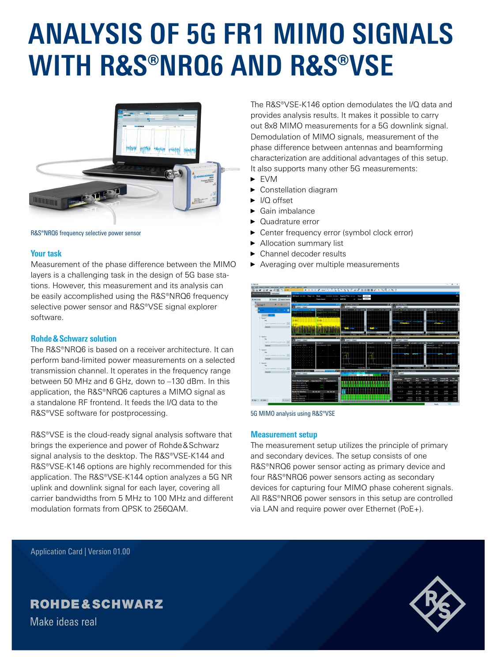# **ANALYSIS OF 5G FR1 MIMO SIGNALS WITH R&S®NRQ6 AND R&S®VSE**



R&S®NRQ6 frequency selective power sensor

#### **Your task**

Measurement of the phase difference between the MIMO layers is a challenging task in the design of 5G base stations. However, this measurement and its analysis can be easily accomplished using the R&S®NRQ6 frequency selective power sensor and R&S®VSE signal explorer software.

#### **Rohde&Schwarz solution**

The R&S®NRQ6 is based on a receiver architecture. It can perform band-limited power measurements on a selected transmission channel. It operates in the frequency range between 50 MHz and 6 GHz, down to –130 dBm. In this application, the R&S®NRQ6 captures a MIMO signal as a standalone RF frontend. It feeds the I/Q data to the R&S®VSE software for postprocessing.

R&S®VSE is the cloud-ready signal analysis software that brings the experience and power of Rohde&Schwarz signal analysis to the desktop. The R&S®VSE-K144 and R&S®VSE-K146 options are highly recommended for this application. The R&S®VSE-K144 option analyzes a 5G NR uplink and downlink signal for each layer, covering all carrier bandwidths from 5 MHz to 100 MHz and different modulation formats from QPSK to 256QAM.

The R&S®VSE-K146 option demodulates the I/Q data and provides analysis results. It makes it possible to carry out 8x8 MIMO measurements for a 5G downlink signal. Demodulation of MIMO signals, measurement of the phase difference between antennas and beamforming characterization are additional advantages of this setup. It also supports many other 5G measurements:

- ► EVM
- ► Constellation diagram
- ► I/Q offset
- $\blacktriangleright$  Gain imbalance
- ► Quadrature error
- ► Center frequency error (symbol clock error)
- Allocation summary list
- ► Channel decoder results
- ► Averaging over multiple measurements



5G MIMO analysis using R&S®VSE

#### **Measurement setup**

The measurement setup utilizes the principle of primary and secondary devices. The setup consists of one R&S®NRQ6 power sensor acting as primary device and four R&S®NRQ6 power sensors acting as secondary devices for capturing four MIMO phase coherent signals. All R&S®NRQ6 power sensors in this setup are controlled via LAN and require power over Ethernet (PoE+).

Application Card | Version 01.00

## **ROHDE&SCHWARZ**

Make ideas real